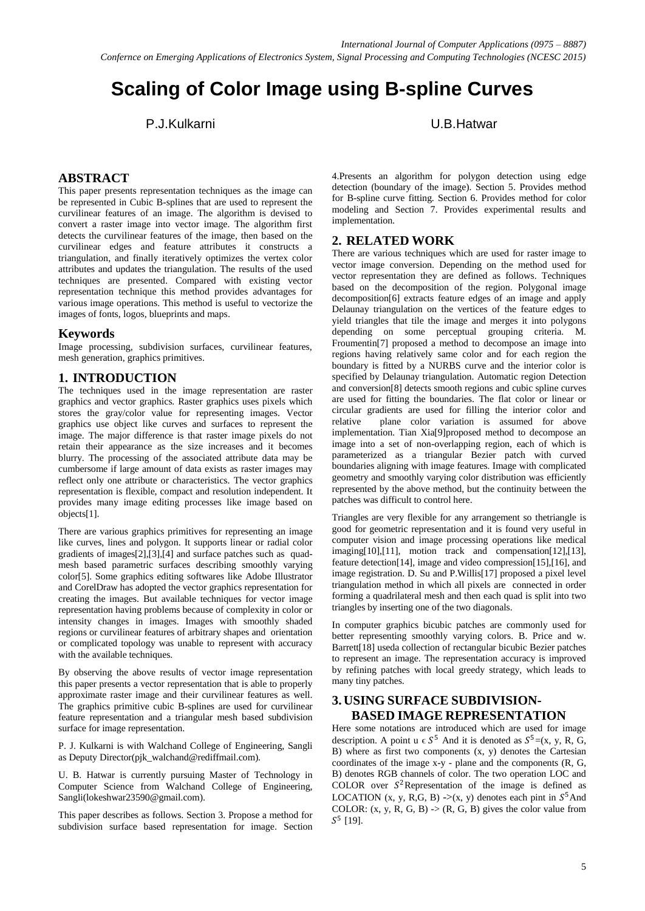# **Scaling of Color Image using B-spline Curves**

P.J.Kulkarni U.B.Hatwar

## **ABSTRACT**

This paper presents representation techniques as the image can be represented in Cubic B-splines that are used to represent the curvilinear features of an image. The algorithm is devised to convert a raster image into vector image. The algorithm first detects the curvilinear features of the image, then based on the curvilinear edges and feature attributes it constructs a triangulation, and finally iteratively optimizes the vertex color attributes and updates the triangulation. The results of the used techniques are presented. Compared with existing vector representation technique this method provides advantages for various image operations. This method is useful to vectorize the images of fonts, logos, blueprints and maps.

#### **Keywords**

Image processing, subdivision surfaces, curvilinear features, mesh generation, graphics primitives.

### **1. INTRODUCTION**

The techniques used in the image representation are raster graphics and vector graphics. Raster graphics uses pixels which stores the gray/color value for representing images. Vector graphics use object like curves and surfaces to represent the image. The major difference is that raster image pixels do not retain their appearance as the size increases and it becomes blurry. The processing of the associated attribute data may be cumbersome if large amount of data exists as raster images may reflect only one attribute or characteristics. The vector graphics representation is flexible, compact and resolution independent. It provides many image editing processes like image based on objects[1].

There are various graphics primitives for representing an image like curves, lines and polygon. It supports linear or radial color gradients of images[2],[3],[4] and surface patches such as quadmesh based parametric surfaces describing smoothly varying color[5]. Some graphics editing softwares like Adobe Illustrator and CorelDraw has adopted the vector graphics representation for creating the images. But available techniques for vector image representation having problems because of complexity in color or intensity changes in images. Images with smoothly shaded regions or curvilinear features of arbitrary shapes and orientation or complicated topology was unable to represent with accuracy with the available techniques.

By observing the above results of vector image representation this paper presents a vector representation that is able to properly approximate raster image and their curvilinear features as well. The graphics primitive cubic B-splines are used for curvilinear feature representation and a triangular mesh based subdivision surface for image representation.

P. J. Kulkarni is with Walchand College of Engineering, Sangli as Deputy Director(pjk\_walchand@rediffmail.com).

U. B. Hatwar is currently pursuing Master of Technology in Computer Science from Walchand College of Engineering, Sangli(lokeshwar23590@gmail.com).

This paper describes as follows. Section 3. Propose a method for subdivision surface based representation for image. Section 4.Presents an algorithm for polygon detection using edge detection (boundary of the image). Section 5. Provides method for B-spline curve fitting. Section 6. Provides method for color modeling and Section 7. Provides experimental results and implementation.

### **2. RELATED WORK**

There are various techniques which are used for raster image to vector image conversion. Depending on the method used for vector representation they are defined as follows. Techniques based on the decomposition of the region. Polygonal image decomposition[6] extracts feature edges of an image and apply Delaunay triangulation on the vertices of the feature edges to yield triangles that tile the image and merges it into polygons depending on some perceptual grouping criteria. M. Froumentin[7] proposed a method to decompose an image into regions having relatively same color and for each region the boundary is fitted by a NURBS curve and the interior color is specified by Delaunay triangulation. Automatic region Detection and conversion[8] detects smooth regions and cubic spline curves are used for fitting the boundaries. The flat color or linear or circular gradients are used for filling the interior color and relative plane color variation is assumed for above implementation. Tian Xia[9]proposed method to decompose an image into a set of non-overlapping region, each of which is parameterized as a triangular Bezier patch with curved boundaries aligning with image features. Image with complicated geometry and smoothly varying color distribution was efficiently represented by the above method, but the continuity between the patches was difficult to control here.

Triangles are very flexible for any arrangement so thetriangle is good for geometric representation and it is found very useful in computer vision and image processing operations like medical imaging[10],[11], motion track and compensation[12],[13], feature detection[14], image and video compression[15],[16], and image registration. D. Su and P.Willis[17] proposed a pixel level triangulation method in which all pixels are connected in order forming a quadrilateral mesh and then each quad is split into two triangles by inserting one of the two diagonals.

In computer graphics bicubic patches are commonly used for better representing smoothly varying colors. B. Price and w. Barrett[18] useda collection of rectangular bicubic Bezier patches to represent an image. The representation accuracy is improved by refining patches with local greedy strategy, which leads to many tiny patches.

## **3. USING SURFACE SUBDIVISION-BASED IMAGE REPRESENTATION**

Here some notations are introduced which are used for image description. A point  $u \in S^5$  And it is denoted as  $S^5 = (x, y, R, G, G)$ B) where as first two components (x, y) denotes the Cartesian coordinates of the image x-y - plane and the components (R, G, B) denotes RGB channels of color. The two operation LOC and COLOR over  $S^2$ Representation of the image is defined as LOCATION (x, y, R,G, B) ->(x, y) denotes each pint in  $S^5$ And COLOR:  $(x, y, R, G, B)$   $\rightarrow$   $(R, G, B)$  gives the color value from  $S^5$  [19].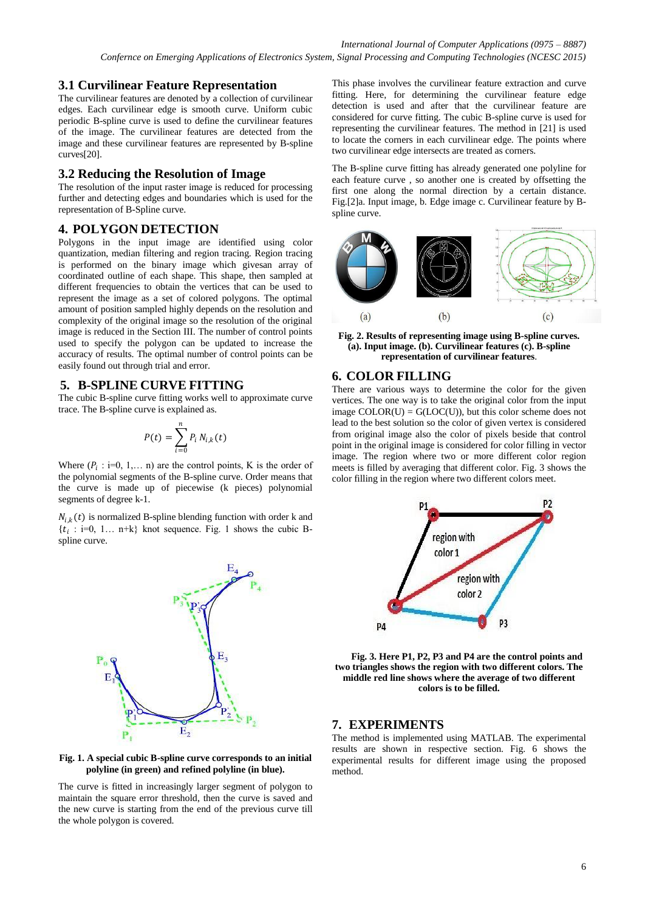## **3.1 Curvilinear Feature Representation**

The curvilinear features are denoted by a collection of curvilinear edges. Each curvilinear edge is smooth curve. Uniform cubic periodic B-spline curve is used to define the curvilinear features of the image. The curvilinear features are detected from the image and these curvilinear features are represented by B-spline curves[20].

## **3.2 Reducing the Resolution of Image**

The resolution of the input raster image is reduced for processing further and detecting edges and boundaries which is used for the representation of B-Spline curve.

# **4. POLYGON DETECTION**

Polygons in the input image are identified using color quantization, median filtering and region tracing. Region tracing is performed on the binary image which givesan array of coordinated outline of each shape. This shape, then sampled at different frequencies to obtain the vertices that can be used to represent the image as a set of colored polygons. The optimal amount of position sampled highly depends on the resolution and complexity of the original image so the resolution of the original image is reduced in the Section III. The number of control points used to specify the polygon can be updated to increase the accuracy of results. The optimal number of control points can be easily found out through trial and error.

### **5. B-SPLINE CURVE FITTING**

The cubic B-spline curve fitting works well to approximate curve trace. The B-spline curve is explained as.

$$
P(t) = \sum_{i=0}^{n} P_i N_{i,k}(t)
$$

Where  $(P_i : i=0, 1,... n)$  are the control points, K is the order of the polynomial segments of the B-spline curve. Order means that the curve is made up of piecewise (k pieces) polynomial segments of degree k-1.

 $N_{i,k}(t)$  is normalized B-spline blending function with order k and  $\{t_i : i=0, 1... \text{ } n+k\}$  knot sequence. Fig. 1 shows the cubic Bspline curve.



#### **Fig. 1. A special cubic B-spline curve corresponds to an initial polyline (in green) and refined polyline (in blue).**

The curve is fitted in increasingly larger segment of polygon to maintain the square error threshold, then the curve is saved and the new curve is starting from the end of the previous curve till the whole polygon is covered.

This phase involves the curvilinear feature extraction and curve fitting. Here, for determining the curvilinear feature edge detection is used and after that the curvilinear feature are considered for curve fitting. The cubic B-spline curve is used for representing the curvilinear features. The method in [21] is used to locate the corners in each curvilinear edge. The points where two curvilinear edge intersects are treated as corners.

The B-spline curve fitting has already generated one polyline for each feature curve , so another one is created by offsetting the first one along the normal direction by a certain distance. Fig.[2]a. Input image, b. Edge image c. Curvilinear feature by Bspline curve.



**Fig. 2. Results of representing image using B-spline curves. (a). Input image. (b). Curvilinear features (c). B-spline representation of curvilinear features**.

### **6. COLOR FILLING**

There are various ways to determine the color for the given vertices. The one way is to take the original color from the input image  $\text{COLOR}(U) = G(\text{LOC}(U))$ , but this color scheme does not lead to the best solution so the color of given vertex is considered from original image also the color of pixels beside that control point in the original image is considered for color filling in vector image. The region where two or more different color region meets is filled by averaging that different color. Fig. 3 shows the color filling in the region where two different colors meet.



**Fig. 3. Here P1, P2, P3 and P4 are the control points and two triangles shows the region with two different colors. The middle red line shows where the average of two different colors is to be filled.**

### **7. EXPERIMENTS**

The method is implemented using MATLAB. The experimental results are shown in respective section. Fig. 6 shows the experimental results for different image using the proposed method.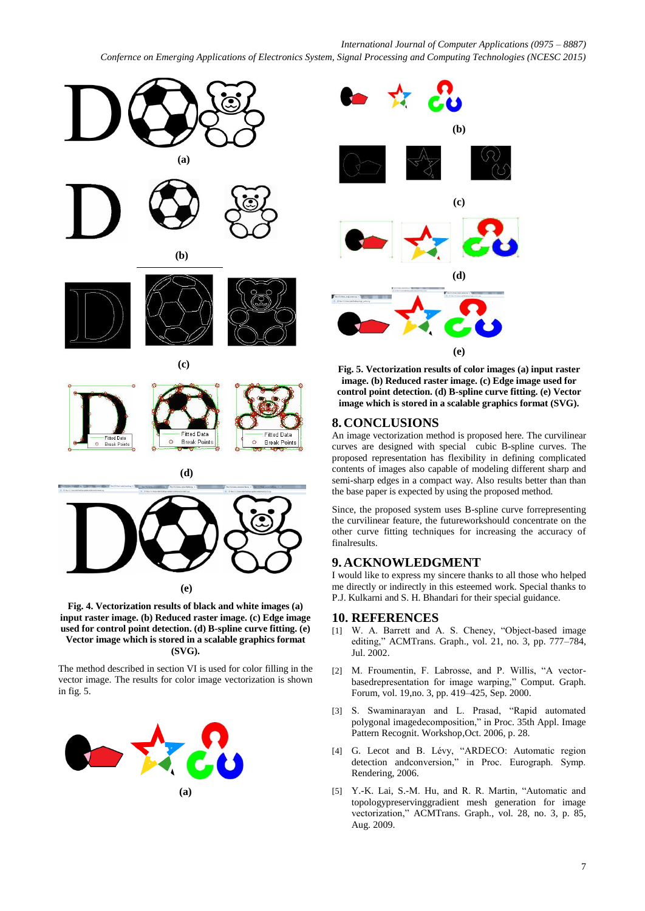#### *International Journal of Computer Applications (0975 – 8887)*

*Confernce on Emerging Applications of Electronics System, Signal Processing and Computing Technologies (NCESC 2015)*





 **(e)**

**Fig. 4. Vectorization results of black and white images (a) input raster image. (b) Reduced raster image. (c) Edge image used for control point detection. (d) B-spline curve fitting. (e) Vector image which is stored in a scalable graphics format (SVG).**

The method described in section VI is used for color filling in the vector image. The results for color image vectorization is shown in fig. 5.





**Fig. 5. Vectorization results of color images (a) input raster image. (b) Reduced raster image. (c) Edge image used for control point detection. (d) B-spline curve fitting. (e) Vector image which is stored in a scalable graphics format (SVG).**

#### **8. CONCLUSIONS**

An image vectorization method is proposed here. The curvilinear curves are designed with special cubic B-spline curves. The proposed representation has flexibility in defining complicated contents of images also capable of modeling different sharp and semi-sharp edges in a compact way. Also results better than than the base paper is expected by using the proposed method.

Since, the proposed system uses B-spline curve forrepresenting the curvilinear feature, the futureworkshould concentrate on the other curve fitting techniques for increasing the accuracy of finalresults.

### **9. ACKNOWLEDGMENT**

I would like to express my sincere thanks to all those who helped me directly or indirectly in this esteemed work. Special thanks to P.J. Kulkarni and S. H. Bhandari for their special guidance.

#### **10. REFERENCES**

- [1] W. A. Barrett and A. S. Cheney, "Object-based image editing," ACMTrans. Graph., vol. 21, no. 3, pp. 777–784, Jul. 2002.
- [2] M. Froumentin, F. Labrosse, and P. Willis, "A vectorbasedrepresentation for image warping," Comput. Graph. Forum, vol. 19,no. 3, pp. 419–425, Sep. 2000.
- [3] S. Swaminarayan and L. Prasad, "Rapid automated polygonal imagedecomposition," in Proc. 35th Appl. Image Pattern Recognit. Workshop,Oct. 2006, p. 28.
- [4] G. Lecot and B. Lévy, "ARDECO: Automatic region detection andconversion," in Proc. Eurograph. Symp. Rendering, 2006.
- [5] Y.-K. Lai, S.-M. Hu, and R. R. Martin, "Automatic and topologypreservinggradient mesh generation for image vectorization," ACMTrans. Graph., vol. 28, no. 3, p. 85, Aug. 2009.